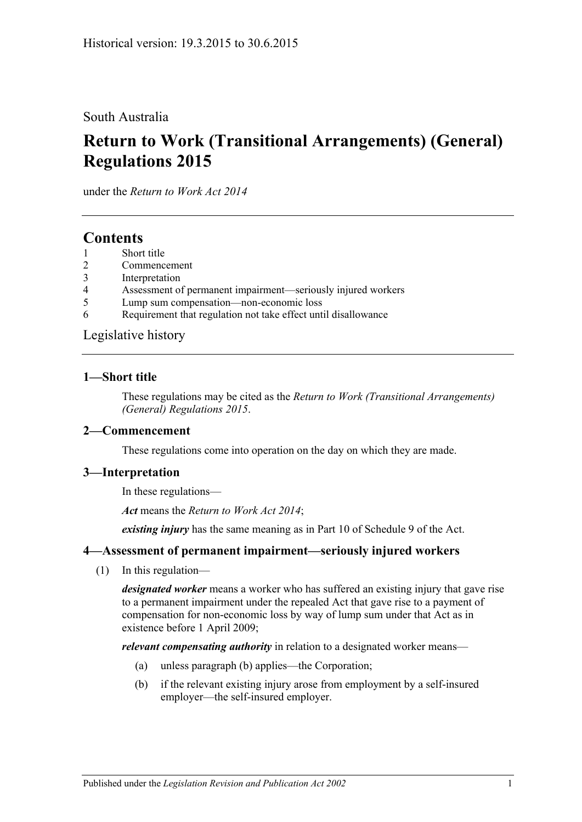### South Australia

# **Return to Work (Transitional Arrangements) (General) Regulations 2015**

under the *Return to Work Act 2014*

## **Contents**

- 1 [Short title](#page-0-0)
- 2 [Commencement](#page-0-1)
- 3 [Interpretation](#page-0-2)
- 4 [Assessment of permanent impairment—seriously injured workers](#page-0-3)
- 5 [Lump sum compensation—non-economic loss](#page-1-0)
- 6 [Requirement that regulation not take effect until disallowance](#page-1-1)

[Legislative history](#page-2-0)

#### <span id="page-0-0"></span>**1—Short title**

These regulations may be cited as the *Return to Work (Transitional Arrangements) (General) Regulations 2015*.

#### <span id="page-0-1"></span>**2—Commencement**

These regulations come into operation on the day on which they are made.

#### <span id="page-0-2"></span>**3—Interpretation**

In these regulations—

*Act* means the *[Return to Work Act](http://www.legislation.sa.gov.au/index.aspx?action=legref&type=act&legtitle=Return%20to%20Work%20Act%202014) 2014*;

*existing injury* has the same meaning as in Part 10 of Schedule 9 of the Act.

#### <span id="page-0-3"></span>**4—Assessment of permanent impairment—seriously injured workers**

(1) In this regulation—

*designated worker* means a worker who has suffered an existing injury that gave rise to a permanent impairment under the repealed Act that gave rise to a payment of compensation for non-economic loss by way of lump sum under that Act as in existence before 1 April 2009;

<span id="page-0-4"></span>*relevant compensating authority* in relation to a designated worker means—

- (a) unless [paragraph](#page-0-4) (b) applies—the Corporation;
- (b) if the relevant existing injury arose from employment by a self-insured employer—the self-insured employer.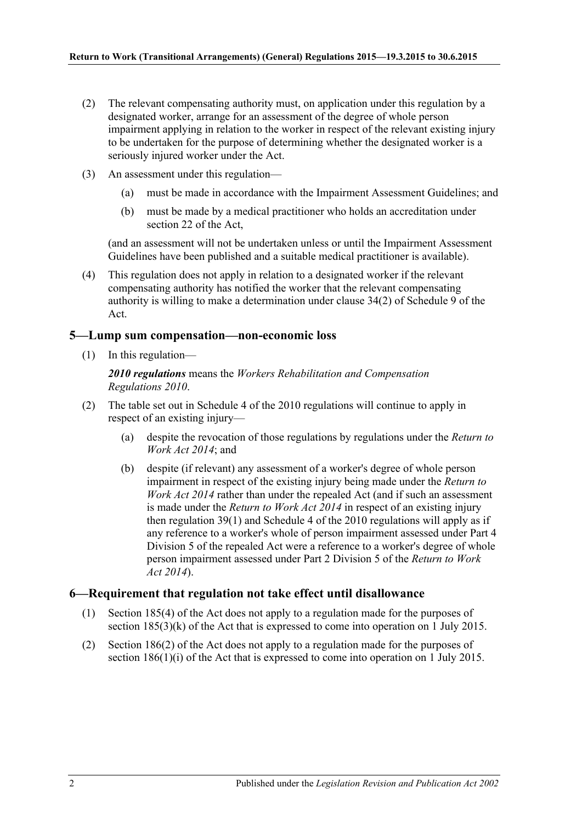- (2) The relevant compensating authority must, on application under this regulation by a designated worker, arrange for an assessment of the degree of whole person impairment applying in relation to the worker in respect of the relevant existing injury to be undertaken for the purpose of determining whether the designated worker is a seriously injured worker under the Act.
- (3) An assessment under this regulation—
	- (a) must be made in accordance with the Impairment Assessment Guidelines; and
	- (b) must be made by a medical practitioner who holds an accreditation under section 22 of the Act,

(and an assessment will not be undertaken unless or until the Impairment Assessment Guidelines have been published and a suitable medical practitioner is available).

(4) This regulation does not apply in relation to a designated worker if the relevant compensating authority has notified the worker that the relevant compensating authority is willing to make a determination under clause 34(2) of Schedule 9 of the Act.

#### <span id="page-1-0"></span>**5—Lump sum compensation—non-economic loss**

(1) In this regulation—

*2010 regulations* means the *[Workers Rehabilitation and Compensation](http://www.legislation.sa.gov.au/index.aspx?action=legref&type=subordleg&legtitle=Workers%20Rehabilitation%20and%20Compensation%20Regulations%202010)  [Regulations](http://www.legislation.sa.gov.au/index.aspx?action=legref&type=subordleg&legtitle=Workers%20Rehabilitation%20and%20Compensation%20Regulations%202010) 2010*.

- (2) The table set out in Schedule 4 of the 2010 regulations will continue to apply in respect of an existing injury—
	- (a) despite the revocation of those regulations by regulations under the *[Return to](http://www.legislation.sa.gov.au/index.aspx?action=legref&type=act&legtitle=Return%20to%20Work%20Act%202014)  [Work Act](http://www.legislation.sa.gov.au/index.aspx?action=legref&type=act&legtitle=Return%20to%20Work%20Act%202014) 2014*; and
	- (b) despite (if relevant) any assessment of a worker's degree of whole person impairment in respect of the existing injury being made under the *[Return to](http://www.legislation.sa.gov.au/index.aspx?action=legref&type=act&legtitle=Return%20to%20Work%20Act%202014)  [Work Act](http://www.legislation.sa.gov.au/index.aspx?action=legref&type=act&legtitle=Return%20to%20Work%20Act%202014) 2014* rather than under the repealed Act (and if such an assessment is made under the *[Return to Work Act](http://www.legislation.sa.gov.au/index.aspx?action=legref&type=act&legtitle=Return%20to%20Work%20Act%202014) 2014* in respect of an existing injury then regulation 39(1) and Schedule 4 of the 2010 regulations will apply as if any reference to a worker's whole of person impairment assessed under Part 4 Division 5 of the repealed Act were a reference to a worker's degree of whole person impairment assessed under Part 2 Division 5 of the *[Return to Work](http://www.legislation.sa.gov.au/index.aspx?action=legref&type=act&legtitle=Return%20to%20Work%20Act%202014)  Act [2014](http://www.legislation.sa.gov.au/index.aspx?action=legref&type=act&legtitle=Return%20to%20Work%20Act%202014)*).

#### <span id="page-1-1"></span>**6—Requirement that regulation not take effect until disallowance**

- (1) Section 185(4) of the Act does not apply to a regulation made for the purposes of section 185(3)(k) of the Act that is expressed to come into operation on 1 July 2015.
- (2) Section 186(2) of the Act does not apply to a regulation made for the purposes of section 186(1)(i) of the Act that is expressed to come into operation on 1 July 2015.